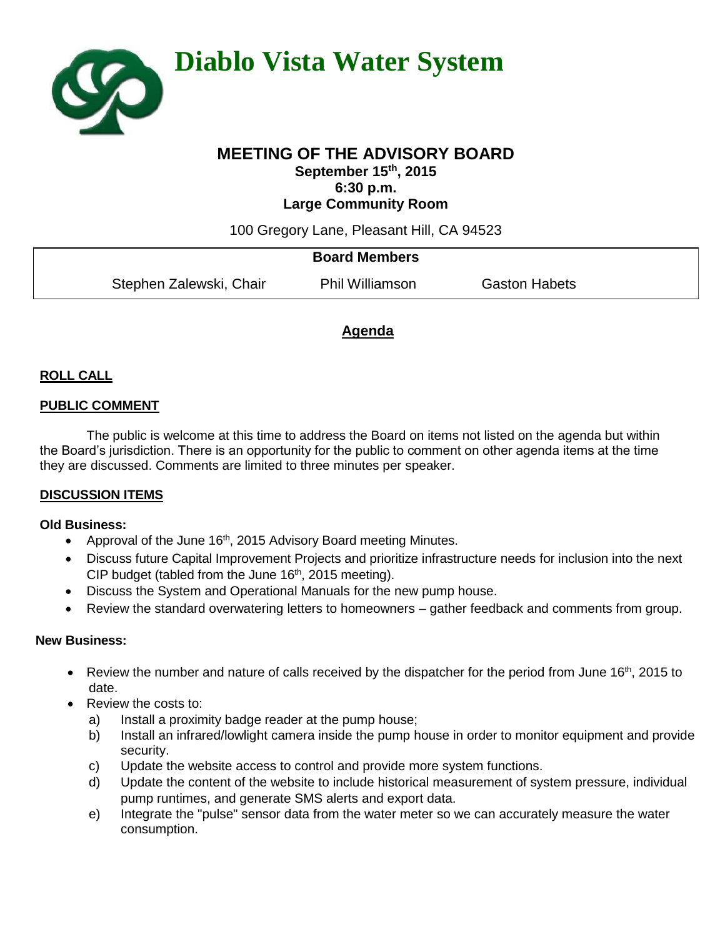

## **MEETING OF THE ADVISORY BOARD**

**September 15th , 2015 6:30 p.m. Large Community Room** 

100 Gregory Lane, Pleasant Hill, CA 94523

| <b>Board Members</b>    |                 |                      |  |
|-------------------------|-----------------|----------------------|--|
| Stephen Zalewski, Chair | Phil Williamson | <b>Gaston Habets</b> |  |

# **Agenda**

#### **ROLL CALL**

### **PUBLIC COMMENT**

The public is welcome at this time to address the Board on items not listed on the agenda but within the Board's jurisdiction. There is an opportunity for the public to comment on other agenda items at the time they are discussed. Comments are limited to three minutes per speaker.

#### **DISCUSSION ITEMS**

#### **Old Business:**

- Approval of the June  $16<sup>th</sup>$ , 2015 Advisory Board meeting Minutes.
- Discuss future Capital Improvement Projects and prioritize infrastructure needs for inclusion into the next CIP budget (tabled from the June  $16<sup>th</sup>$ , 2015 meeting).
- Discuss the System and Operational Manuals for the new pump house.
- Review the standard overwatering letters to homeowners gather feedback and comments from group.

#### **New Business:**

- Review the number and nature of calls received by the dispatcher for the period from June 16<sup>th</sup>, 2015 to date.
- Review the costs to:
	- a) Install a proximity badge reader at the pump house;
	- b) Install an infrared/lowlight camera inside the pump house in order to monitor equipment and provide security.
	- c) Update the website access to control and provide more system functions.
	- d) Update the content of the website to include historical measurement of system pressure, individual pump runtimes, and generate SMS alerts and export data.
	- e) Integrate the "pulse" sensor data from the water meter so we can accurately measure the water consumption.